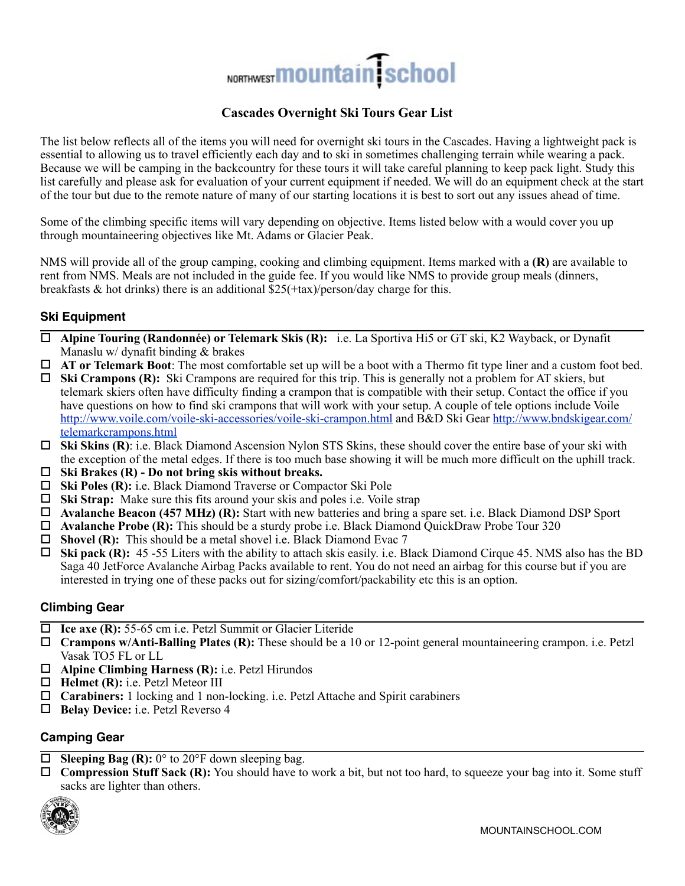# NORTHWEST **MOUNTAIN** School

# **Cascades Overnight Ski Tours Gear List**

The list below reflects all of the items you will need for overnight ski tours in the Cascades. Having a lightweight pack is essential to allowing us to travel efficiently each day and to ski in sometimes challenging terrain while wearing a pack. Because we will be camping in the backcountry for these tours it will take careful planning to keep pack light. Study this list carefully and please ask for evaluation of your current equipment if needed. We will do an equipment check at the start of the tour but due to the remote nature of many of our starting locations it is best to sort out any issues ahead of time.

Some of the climbing specific items will vary depending on objective. Items listed below with a would cover you up through mountaineering objectives like Mt. Adams or Glacier Peak.

NMS will provide all of the group camping, cooking and climbing equipment. Items marked with a **(R)** are available to rent from NMS. Meals are not included in the guide fee. If you would like NMS to provide group meals (dinners, breakfasts  $\&$  hot drinks) there is an additional  $\overline{\$25(+\text{tax})/\text{person}}$  and  $\overline{\$2\text{draw}}\$$  charge for this.

# **Ski Equipment**

- ! **Alpine Touring (Randonnée) or Telemark Skis (R):** i.e. La Sportiva Hi5 or GT ski, K2 Wayback, or Dynafit Manaslu w/ dynafit binding & brakes
- ! **AT or Telemark Boot**: The most comfortable set up will be a boot with a Thermo fit type liner and a custom foot bed.
- ! **Ski Crampons (R):** Ski Crampons are required for this trip. This is generally not a problem for AT skiers, but telemark skiers often have difficulty finding a crampon that is compatible with their setup. Contact the office if you have questions on how to find ski crampons that will work with your setup. A couple of tele options include Voile [http://www.voile.com/voile-ski-accessories/voile-ski-crampon.html and B&D Ski Gear http://www.bndskigear.com/](http://www.bndskigear.com/telemarkcrampons.html) telemarkcrampons.html
- ! **Ski Skins (R)**: i.e. Black Diamond Ascension Nylon STS Skins, these should cover the entire base of your ski with the exception of the metal edges. If there is too much base showing it will be much more difficult on the uphill track.
- ! **Ski Brakes (R) Do not bring skis without breaks.**
- ! **Ski Poles (R):** i.e. Black Diamond Traverse or Compactor Ski Pole
- ! **Ski Strap:** Make sure this fits around your skis and poles i.e. Voile strap
- ! **Avalanche Beacon (457 MHz) (R):** Start with new batteries and bring a spare set. i.e. Black Diamond DSP Sport
- ! **Avalanche Probe (R):** This should be a sturdy probe i.e. Black Diamond QuickDraw Probe Tour 320
- □ **Shovel (R):** This should be a metal shovel i.e. Black Diamond Evac 7
- ! **Ski pack (R):** 45 -55 Liters with the ability to attach skis easily. i.e. Black Diamond Cirque 45. NMS also has the BD Saga 40 JetForce Avalanche Airbag Packs available to rent. You do not need an airbag for this course but if you are interested in trying one of these packs out for sizing/comfort/packability etc this is an option.

## **Climbing Gear**

- □ Ice axe (R): 55-65 cm i.e. Petzl Summit or Glacier Literide
- ! **Crampons w/Anti-Balling Plates (R):** These should be a 10 or 12-point general mountaineering crampon. i.e. Petzl Vasak TO5 FL or LL
- ! **Alpine Climbing Harness (R):** i.e. Petzl Hirundos
- $\Box$  **Helmet (R):** i.e. Petzl Meteor III
- ! **Carabiners:** 1 locking and 1 non-locking. i.e. Petzl Attache and Spirit carabiners
- ! **Belay Device:** i.e. Petzl Reverso 4

# **Camping Gear**

- ! **Sleeping Bag (R):** 0° to 20°F down sleeping bag.
- ! **Compression Stuff Sack (R):** You should have to work a bit, but not too hard, to squeeze your bag into it. Some stuff sacks are lighter than others.

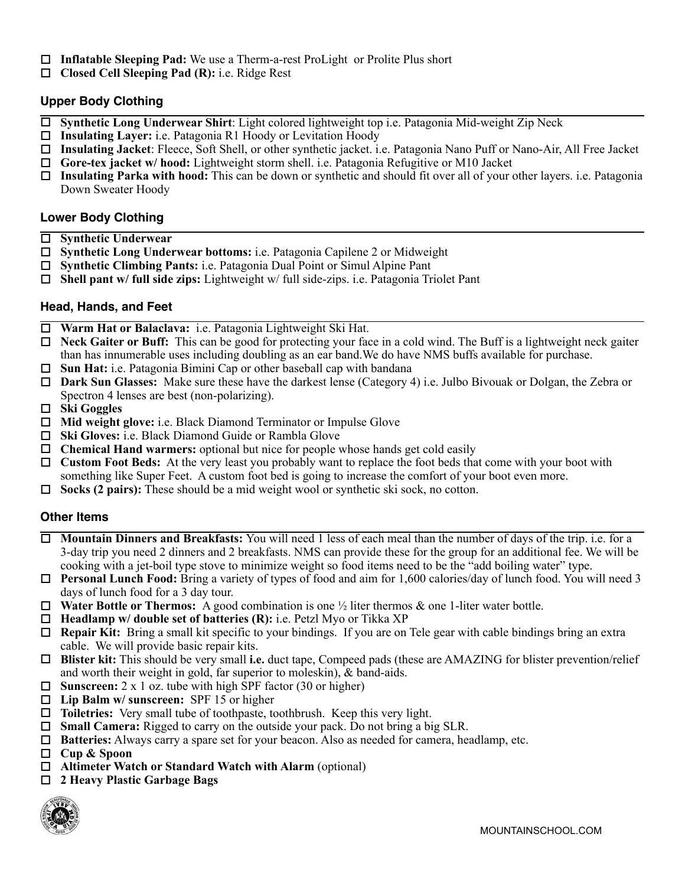- ! **Inflatable Sleeping Pad:** We use a Therm-a-rest ProLight or Prolite Plus short
- ! **Closed Cell Sleeping Pad (R):** i.e. Ridge Rest

### **Upper Body Clothing**

- ! **Synthetic Long Underwear Shirt**: Light colored lightweight top i.e. Patagonia Mid-weight Zip Neck
- ! **Insulating Layer:** i.e. Patagonia R1 Hoody or Levitation Hoody
- ! **Insulating Jacket**: Fleece, Soft Shell, or other synthetic jacket. i.e. Patagonia Nano Puff or Nano-Air, All Free Jacket
- ! **Gore-tex jacket w/ hood:** Lightweight storm shell. i.e. Patagonia Refugitive or M10 Jacket
- ! **Insulating Parka with hood:** This can be down or synthetic and should fit over all of your other layers. i.e. Patagonia Down Sweater Hoody

#### **Lower Body Clothing**

- ! **Synthetic Underwear**
- ! **Synthetic Long Underwear bottoms:** i.e. Patagonia Capilene 2 or Midweight
- ! **Synthetic Climbing Pants:** i.e. Patagonia Dual Point or Simul Alpine Pant
- ! **Shell pant w/ full side zips:** Lightweight w/ full side-zips. i.e. Patagonia Triolet Pant

### **Head, Hands, and Feet**

- ! **Warm Hat or Balaclava:** i.e. Patagonia Lightweight Ski Hat.
- ! **Neck Gaiter or Buff:** This can be good for protecting your face in a cold wind. The Buff is a lightweight neck gaiter than has innumerable uses including doubling as an ear band.We do have NMS buffs available for purchase.
- □ **Sun Hat:** i.e. Patagonia Bimini Cap or other baseball cap with bandana
- ! **Dark Sun Glasses:** Make sure these have the darkest lense (Category 4) i.e. Julbo Bivouak or Dolgan, the Zebra or Spectron 4 lenses are best (non-polarizing).
- ! **Ski Goggles**
- ! **Mid weight glove:** i.e. Black Diamond Terminator or Impulse Glove
- ! **Ski Gloves:** i.e. Black Diamond Guide or Rambla Glove
- ! **Chemical Hand warmers:** optional but nice for people whose hands get cold easily
- □ **Custom Foot Beds:** At the very least you probably want to replace the foot beds that come with your boot with something like Super Feet. A custom foot bed is going to increase the comfort of your boot even more.
- ! **Socks (2 pairs):** These should be a mid weight wool or synthetic ski sock, no cotton.

## **Other Items**

- ! **Mountain Dinners and Breakfasts:** You will need 1 less of each meal than the number of days of the trip. i.e. for a 3-day trip you need 2 dinners and 2 breakfasts. NMS can provide these for the group for an additional fee. We will be cooking with a jet-boil type stove to minimize weight so food items need to be the "add boiling water" type.
- **Personal Lunch Food:** Bring a variety of types of food and aim for 1,600 calories/day of lunch food. You will need 3 days of lunch food for a 3 day tour.
- □ **Water Bottle or Thermos:** A good combination is one  $\frac{1}{2}$  liter thermos & one 1-liter water bottle.
- ! **Headlamp w/ double set of batteries (R):** i.e. Petzl Myo or Tikka XP
- □ **Repair Kit:** Bring a small kit specific to your bindings. If you are on Tele gear with cable bindings bring an extra cable. We will provide basic repair kits.
- ! **Blister kit:** This should be very small **i.e.** duct tape, Compeed pads (these are AMAZING for blister prevention/relief and worth their weight in gold, far superior to moleskin), & band-aids.
- □ **Sunscreen:** 2 x 1 oz. tube with high SPF factor (30 or higher)
- ! **Lip Balm w/ sunscreen:** SPF 15 or higher
- ! **Toiletries:** Very small tube of toothpaste, toothbrush. Keep this very light.
- □ **Small Camera:** Rigged to carry on the outside your pack. Do not bring a big SLR.
- ! **Batteries:** Always carry a spare set for your beacon. Also as needed for camera, headlamp, etc.
- ! **Cup & Spoon**
- □ Altimeter Watch or Standard Watch with Alarm (optional)
- ! **2 Heavy Plastic Garbage Bags**